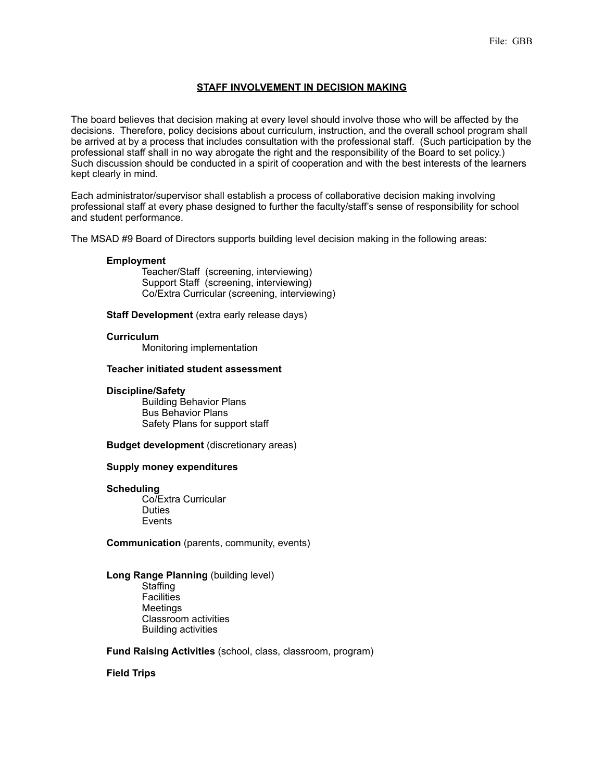# **STAFF INVOLVEMENT IN DECISION MAKING**

The board believes that decision making at every level should involve those who will be affected by the decisions. Therefore, policy decisions about curriculum, instruction, and the overall school program shall be arrived at by a process that includes consultation with the professional staff. (Such participation by the professional staff shall in no way abrogate the right and the responsibility of the Board to set policy.) Such discussion should be conducted in a spirit of cooperation and with the best interests of the learners kept clearly in mind.

Each administrator/supervisor shall establish a process of collaborative decision making involving professional staff at every phase designed to further the faculty/staff's sense of responsibility for school and student performance.

The MSAD #9 Board of Directors supports building level decision making in the following areas:

### **Employment**

 Teacher/Staff (screening, interviewing) Support Staff (screening, interviewing) Co/Extra Curricular (screening, interviewing)

**Staff Development** (extra early release days)

#### **Curriculum**

Monitoring implementation

### **Teacher initiated student assessment**

#### **Discipline/Safety**

 Building Behavior Plans Bus Behavior Plans Safety Plans for support staff

**Budget development** (discretionary areas)

### **Supply money expenditures**

#### **Scheduling**

 Co/Extra Curricular **Duties** Events

**Communication** (parents, community, events)

# **Long Range Planning** (building level)

**Staffing Facilities**  Meetings Classroom activities Building activities

**Fund Raising Activities** (school, class, classroom, program)

### **Field Trips**